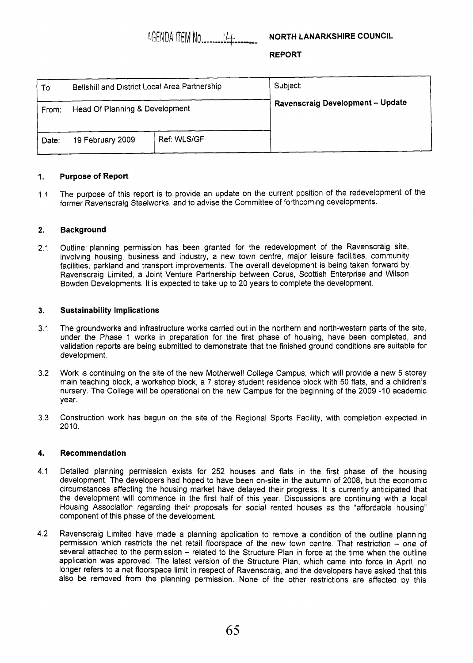AGENDA ITEM NO.

# NORTH LANARKSHIRE COUNCIL

## **REPORT**

| To∶   | Bellshill and District Local Area Partnership |             | Subject:                                |
|-------|-----------------------------------------------|-------------|-----------------------------------------|
| From: | Head Of Planning & Development                |             | <b>Ravenscraig Development - Update</b> |
| Date: | 19 February 2009                              | Ref: WLS/GF |                                         |

### **1. Purpose of Report**

1.1 The purpose of this report is to provide an update on the current position of the redevelopment of the former Ravenscraig Steelworks, and to advise the Committee of forthcoming developments.

### **2. Background**

2.1 Outline planning permission has been granted for the redevelopment of the Ravenscraig site, involving housing, business and industry, a new town centre, major leisure facilities, community facilities, parkland and transport improvements. The overall development is being taken forward by Ravenscraig Limited, a Joint Venture Partnership between Corus, Scottish Enterprise and Wilson Bowden Developments. It is expected to take up to 20 years to complete the development.

### **3. Sustainability Implications**

- 3.1 The groundworks and infrastructure works carried out in the northern and north-western parts of the site, under the Phase 1 works in preparation for the first phase of housing, have been completed, and validation reports are being submitted to demonstrate that the finished ground conditions are suitable for development.
- 3.2 Work is continuing on the site of the new Motherwell College Campus, which will provide a new 5 storey main teaching block, a workshop block, a 7 storey student residence block with 50 flats, and a children's nursery. The College will be operational on the new Campus for the beginning of the 2009 -10 academic year.
- 3.3 Construction work has begun on the site of the Regional Sports Facility, with completion expected in  $2010.$

#### **4. Recommendation**

- 4.1 Detailed planning permission exists for 252 houses and flats in the first phase of the housing development. The developers had hoped to have been on-site in the autumn of 2008, but the economic circumstances affecting the housing market have delayed their progress. It is currently anticipated that the development will commence in the first half of this year. Discussions are continuing with a local Housing Association regarding their proposals for social rented houses as the "affordable housing" component of this phase of the development.
- 4.2 Ravenscraig Limited have made a planning application to remove a condition of the outline planning permission which restricts the net retail floorspace of the new town centre. That restriction - one of several attached to the permission – related to the Structure Plan in force at the time when the outline application was approved. The latest version of the Structure Plan, which came into force in April, no longer refers to a net floorspace limit in respect of Ravenscraig, and the developers have asked that this also be removed from the planning permission. None of the other restrictions are affected by this